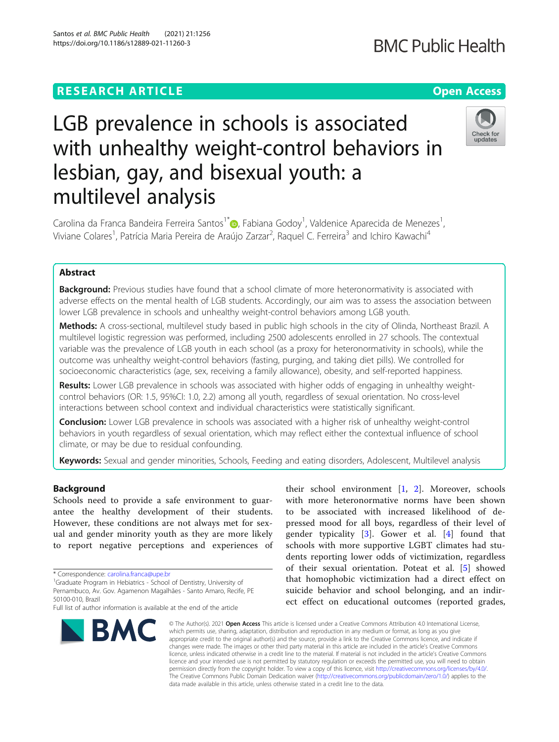## **RESEARCH ARTICLE Example 2014 12:30 The Contract of Contract ACCESS**

# LGB prevalence in schools is associated with unhealthy weight-control behaviors in lesbian, gay, and bisexual youth: a multilevel analysis

Carolina da Franca Bandeira Ferreira Santos<sup>1\*</sup>. Fabiana Godoy<sup>1</sup>[,](http://orcid.org/0000-0002-7365-2806) Valdenice Aparecida de Menezes<sup>1</sup> , Viviane Colares<sup>1</sup>, Patrícia Maria Pereira de Araújo Zarzar<sup>2</sup>, Raquel C. Ferreira<sup>3</sup> and Ichiro Kawachi<sup>4</sup>

## Abstract

**Background:** Previous studies have found that a school climate of more heteronormativity is associated with adverse effects on the mental health of LGB students. Accordingly, our aim was to assess the association between lower LGB prevalence in schools and unhealthy weight-control behaviors among LGB youth.

Methods: A cross-sectional, multilevel study based in public high schools in the city of Olinda, Northeast Brazil. A multilevel logistic regression was performed, including 2500 adolescents enrolled in 27 schools. The contextual variable was the prevalence of LGB youth in each school (as a proxy for heteronormativity in schools), while the outcome was unhealthy weight-control behaviors (fasting, purging, and taking diet pills). We controlled for socioeconomic characteristics (age, sex, receiving a family allowance), obesity, and self-reported happiness.

Results: Lower LGB prevalence in schools was associated with higher odds of engaging in unhealthy weightcontrol behaviors (OR: 1.5, 95%CI: 1.0, 2.2) among all youth, regardless of sexual orientation. No cross-level interactions between school context and individual characteristics were statistically significant.

**Conclusion:** Lower LGB prevalence in schools was associated with a higher risk of unhealthy weight-control behaviors in youth regardless of sexual orientation, which may reflect either the contextual influence of school climate, or may be due to residual confounding.

Keywords: Sexual and gender minorities, Schools, Feeding and eating disorders, Adolescent, Multilevel analysis

## Background

Schools need to provide a safe environment to guarantee the healthy development of their students. However, these conditions are not always met for sexual and gender minority youth as they are more likely to report negative perceptions and experiences of

\* Correspondence: [carolina.franca@upe.br](mailto:carolina.franca@upe.br)<br><sup>1</sup>Graduate Program in Hebiatrics - School of Dentistry, University of Pernambuco, Av. Gov. Agamenon Magalhães - Santo Amaro, Recife, PE 50100-010, Brazil



their school environment [\[1](#page-6-0), [2](#page-6-0)]. Moreover, schools with more heteronormative norms have been shown to be associated with increased likelihood of depressed mood for all boys, regardless of their level of gender typicality [\[3](#page-6-0)]. Gower et al. [\[4](#page-6-0)] found that schools with more supportive LGBT climates had students reporting lower odds of victimization, regardless of their sexual orientation. Poteat et al. [\[5](#page-6-0)] showed that homophobic victimization had a direct effect on suicide behavior and school belonging, and an indirect effect on educational outcomes (reported grades,

© The Author(s), 2021 **Open Access** This article is licensed under a Creative Commons Attribution 4.0 International License, which permits use, sharing, adaptation, distribution and reproduction in any medium or format, as long as you give appropriate credit to the original author(s) and the source, provide a link to the Creative Commons licence, and indicate if changes were made. The images or other third party material in this article are included in the article's Creative Commons licence, unless indicated otherwise in a credit line to the material. If material is not included in the article's Creative Commons licence and your intended use is not permitted by statutory regulation or exceeds the permitted use, you will need to obtain permission directly from the copyright holder. To view a copy of this licence, visit [http://creativecommons.org/licenses/by/4.0/.](http://creativecommons.org/licenses/by/4.0/) The Creative Commons Public Domain Dedication waiver [\(http://creativecommons.org/publicdomain/zero/1.0/](http://creativecommons.org/publicdomain/zero/1.0/)) applies to the data made available in this article, unless otherwise stated in a credit line to the data.



## **BMC Public Health**

Full list of author information is available at the end of the article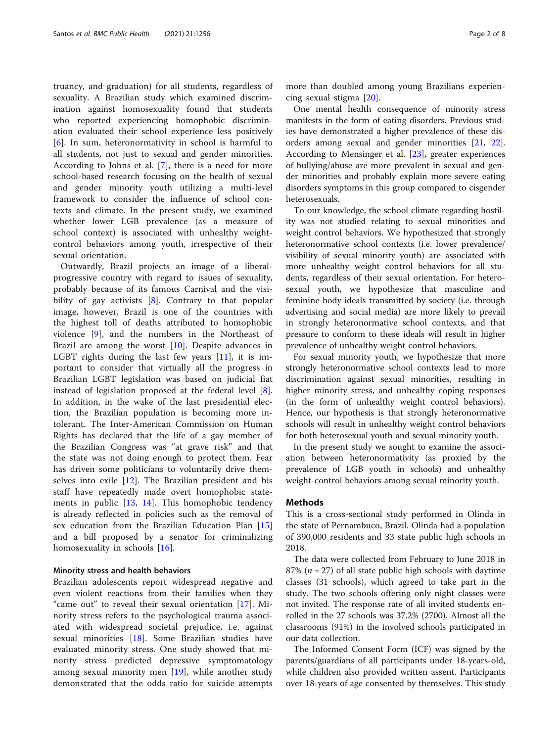truancy, and graduation) for all students, regardless of sexuality. A Brazilian study which examined discrimination against homosexuality found that students who reported experiencing homophobic discrimination evaluated their school experience less positively [[6\]](#page-6-0). In sum, heteronormativity in school is harmful to all students, not just to sexual and gender minorities. According to Johns et al. [\[7](#page-6-0)], there is a need for more school-based research focusing on the health of sexual and gender minority youth utilizing a multi-level framework to consider the influence of school contexts and climate. In the present study, we examined whether lower LGB prevalence (as a measure of school context) is associated with unhealthy weightcontrol behaviors among youth, irrespective of their sexual orientation.

Outwardly, Brazil projects an image of a liberalprogressive country with regard to issues of sexuality, probably because of its famous Carnival and the visibility of gay activists  $[8]$  $[8]$ . Contrary to that popular image, however, Brazil is one of the countries with the highest toll of deaths attributed to homophobic violence [\[9](#page-6-0)], and the numbers in the Northeast of Brazil are among the worst [\[10](#page-6-0)]. Despite advances in LGBT rights during the last few years [[11\]](#page-6-0), it is important to consider that virtually all the progress in Brazilian LGBT legislation was based on judicial fiat instead of legislation proposed at the federal level [\[8](#page-6-0)]. In addition, in the wake of the last presidential election, the Brazilian population is becoming more intolerant. The Inter-American Commission on Human Rights has declared that the life of a gay member of the Brazilian Congress was "at grave risk" and that the state was not doing enough to protect them. Fear has driven some politicians to voluntarily drive themselves into exile [\[12](#page-6-0)]. The Brazilian president and his staff have repeatedly made overt homophobic statements in public [\[13](#page-6-0), [14\]](#page-6-0). This homophobic tendency is already reflected in policies such as the removal of sex education from the Brazilian Education Plan [\[15](#page-6-0)] and a bill proposed by a senator for criminalizing homosexuality in schools [[16\]](#page-6-0).

#### Minority stress and health behaviors

Brazilian adolescents report widespread negative and even violent reactions from their families when they "came out" to reveal their sexual orientation [[17\]](#page-6-0). Minority stress refers to the psychological trauma associated with widespread societal prejudice, i.e. against sexual minorities [\[18](#page-6-0)]. Some Brazilian studies have evaluated minority stress. One study showed that minority stress predicted depressive symptomatology among sexual minority men [\[19](#page-6-0)], while another study demonstrated that the odds ratio for suicide attempts

more than doubled among young Brazilians experiencing sexual stigma [\[20](#page-6-0)].

One mental health consequence of minority stress manifests in the form of eating disorders. Previous studies have demonstrated a higher prevalence of these disorders among sexual and gender minorities [[21,](#page-6-0) [22](#page-6-0)]. According to Mensinger et al. [\[23](#page-6-0)], greater experiences of bullying/abuse are more prevalent in sexual and gender minorities and probably explain more severe eating disorders symptoms in this group compared to cisgender heterosexuals.

To our knowledge, the school climate regarding hostility was not studied relating to sexual minorities and weight control behaviors. We hypothesized that strongly heteronormative school contexts (i.e. lower prevalence/ visibility of sexual minority youth) are associated with more unhealthy weight control behaviors for all students, regardless of their sexual orientation. For heterosexual youth, we hypothesize that masculine and feminine body ideals transmitted by society (i.e. through advertising and social media) are more likely to prevail in strongly heteronormative school contexts, and that pressure to conform to these ideals will result in higher prevalence of unhealthy weight control behaviors.

For sexual minority youth, we hypothesize that more strongly heteronormative school contexts lead to more discrimination against sexual minorities, resulting in higher minority stress, and unhealthy coping responses (in the form of unhealthy weight control behaviors). Hence, our hypothesis is that strongly heteronormative schools will result in unhealthy weight control behaviors for both heterosexual youth and sexual minority youth.

In the present study we sought to examine the association between heteronormativity (as proxied by the prevalence of LGB youth in schools) and unhealthy weight-control behaviors among sexual minority youth.

#### **Methods**

This is a cross-sectional study performed in Olinda in the state of Pernambuco, Brazil. Olinda had a population of 390,000 residents and 33 state public high schools in 2018.

The data were collected from February to June 2018 in 87% ( $n = 27$ ) of all state public high schools with daytime classes (31 schools), which agreed to take part in the study. The two schools offering only night classes were not invited. The response rate of all invited students enrolled in the 27 schools was 37.2% (2700). Almost all the classrooms (91%) in the involved schools participated in our data collection.

The Informed Consent Form (ICF) was signed by the parents/guardians of all participants under 18-years-old, while children also provided written assent. Participants over 18-years of age consented by themselves. This study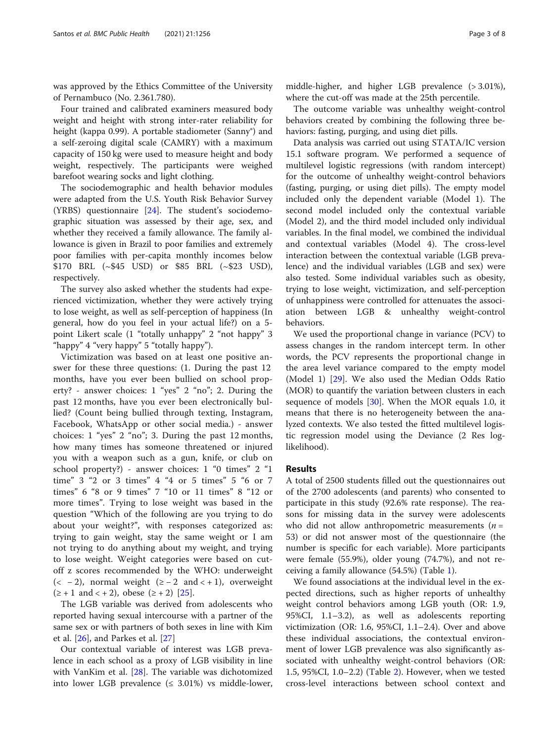was approved by the Ethics Committee of the University of Pernambuco (No. 2.361.780).

Four trained and calibrated examiners measured body weight and height with strong inter-rater reliability for height (kappa 0.99). A portable stadiometer (Sanny®) and a self-zeroing digital scale (CAMRY) with a maximum capacity of 150 kg were used to measure height and body weight, respectively. The participants were weighed barefoot wearing socks and light clothing.

The sociodemographic and health behavior modules were adapted from the U.S. Youth Risk Behavior Survey (YRBS) questionnaire [[24\]](#page-6-0). The student's sociodemographic situation was assessed by their age, sex, and whether they received a family allowance. The family allowance is given in Brazil to poor families and extremely poor families with per-capita monthly incomes below \$170 BRL (~\$45 USD) or \$85 BRL (~\$23 USD), respectively.

The survey also asked whether the students had experienced victimization, whether they were actively trying to lose weight, as well as self-perception of happiness (In general, how do you feel in your actual life?) on a 5 point Likert scale (1 "totally unhappy" 2 "not happy" 3 "happy" 4 "very happy" 5 "totally happy").

Victimization was based on at least one positive answer for these three questions: (1. During the past 12 months, have you ever been bullied on school property? - answer choices: 1 "yes" 2 "no"; 2. During the past 12 months, have you ever been electronically bullied? (Count being bullied through texting, Instagram, Facebook, WhatsApp or other social media.) - answer choices: 1 "yes" 2 "no"; 3. During the past 12 months, how many times has someone threatened or injured you with a weapon such as a gun, knife, or club on school property?) - answer choices: 1 "0 times" 2 "1 time" 3 "2 or 3 times" 4 "4 or 5 times" 5 "6 or 7 times" 6 "8 or 9 times" 7 "10 or 11 times" 8 "12 or more times". Trying to lose weight was based in the question "Which of the following are you trying to do about your weight?", with responses categorized as: trying to gain weight, stay the same weight or I am not trying to do anything about my weight, and trying to lose weight. Weight categories were based on cutoff z scores recommended by the WHO: underweight (< -2), normal weight ( $\ge$  -2 and < +1), overweight  $(\ge +1 \text{ and } \le +2)$ , obese  $(\ge +2)$  [[25\]](#page-6-0).

The LGB variable was derived from adolescents who reported having sexual intercourse with a partner of the same sex or with partners of both sexes in line with Kim et al. [\[26](#page-6-0)], and Parkes et al. [[27\]](#page-7-0)

Our contextual variable of interest was LGB prevalence in each school as a proxy of LGB visibility in line with VanKim et al. [[28](#page-7-0)]. The variable was dichotomized into lower LGB prevalence  $( \leq 3.01\%)$  vs middle-lower,

middle-higher, and higher LGB prevalence (> 3.01%), where the cut-off was made at the 25th percentile.

The outcome variable was unhealthy weight-control behaviors created by combining the following three behaviors: fasting, purging, and using diet pills.

Data analysis was carried out using STATA/IC version 15.1 software program. We performed a sequence of multilevel logistic regressions (with random intercept) for the outcome of unhealthy weight-control behaviors (fasting, purging, or using diet pills). The empty model included only the dependent variable (Model 1). The second model included only the contextual variable (Model 2), and the third model included only individual variables. In the final model, we combined the individual and contextual variables (Model 4). The cross-level interaction between the contextual variable (LGB prevalence) and the individual variables (LGB and sex) were also tested. Some individual variables such as obesity, trying to lose weight, victimization, and self-perception of unhappiness were controlled for attenuates the association between LGB & unhealthy weight-control behaviors.

We used the proportional change in variance (PCV) to assess changes in the random intercept term. In other words, the PCV represents the proportional change in the area level variance compared to the empty model (Model 1) [[29\]](#page-7-0). We also used the Median Odds Ratio (MOR) to quantify the variation between clusters in each sequence of models [[30\]](#page-7-0). When the MOR equals 1.0, it means that there is no heterogeneity between the analyzed contexts. We also tested the fitted multilevel logistic regression model using the Deviance (2 Res loglikelihood).

#### Results

A total of 2500 students filled out the questionnaires out of the 2700 adolescents (and parents) who consented to participate in this study (92.6% rate response). The reasons for missing data in the survey were adolescents who did not allow anthropometric measurements ( $n =$ 53) or did not answer most of the questionnaire (the number is specific for each variable). More participants were female (55.9%), older young (74.7%), and not receiving a family allowance (54.5%) (Table [1](#page-3-0)).

We found associations at the individual level in the expected directions, such as higher reports of unhealthy weight control behaviors among LGB youth (OR: 1.9, 95%CI, 1.1–3.2), as well as adolescents reporting victimization (OR: 1.6, 95%CI, 1.1–2.4). Over and above these individual associations, the contextual environment of lower LGB prevalence was also significantly associated with unhealthy weight-control behaviors (OR: 1.5, 95%CI, 1.0–2.2) (Table [2](#page-4-0)). However, when we tested cross-level interactions between school context and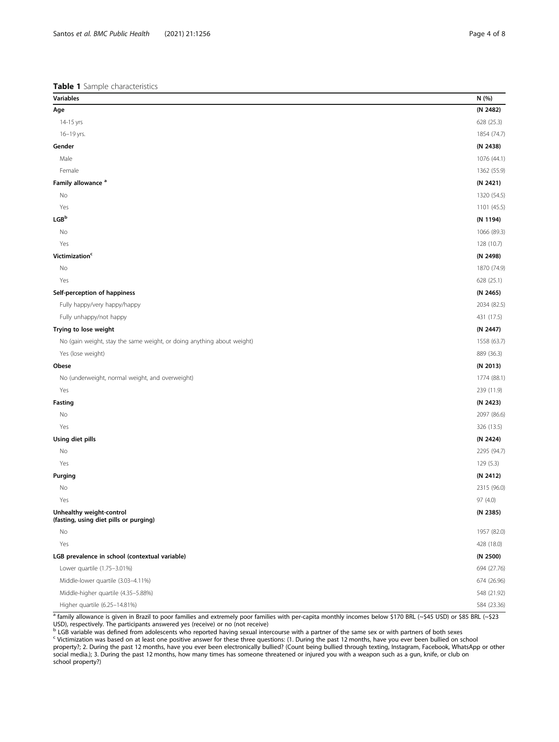#### <span id="page-3-0"></span>Table 1 Sample characteristics

| Variables                                                              | N (%)       |
|------------------------------------------------------------------------|-------------|
| Age                                                                    | (N 2482)    |
| 14-15 yrs                                                              | 628 (25.3)  |
| 16-19 yrs.                                                             | 1854 (74.7) |
| Gender                                                                 | (N 2438)    |
| Male                                                                   | 1076 (44.1) |
| Female                                                                 | 1362 (55.9) |
| Family allowance <sup>a</sup>                                          | (N 2421)    |
| No                                                                     | 1320 (54.5) |
| Yes                                                                    | 1101 (45.5) |
| LGB <sup>b</sup>                                                       | (N 1194)    |
| No                                                                     | 1066 (89.3) |
| Yes                                                                    | 128 (10.7)  |
| Victimization <sup>c</sup>                                             | (N 2498)    |
| No                                                                     | 1870 (74.9) |
| Yes                                                                    | 628 (25.1)  |
| Self-perception of happiness                                           | (N 2465)    |
| Fully happy/very happy/happy                                           | 2034 (82.5) |
| Fully unhappy/not happy                                                | 431 (17.5)  |
| Trying to lose weight                                                  | (N 2447)    |
| No (gain weight, stay the same weight, or doing anything about weight) | 1558 (63.7) |
| Yes (lose weight)                                                      | 889 (36.3)  |
| Obese                                                                  | (N 2013)    |
| No (underweight, normal weight, and overweight)                        | 1774 (88.1) |
| Yes                                                                    | 239 (11.9)  |
| Fasting                                                                | (N 2423)    |
| No                                                                     | 2097 (86.6) |
| Yes                                                                    | 326 (13.5)  |
| Using diet pills                                                       | (N 2424)    |
| No                                                                     | 2295 (94.7) |
| Yes                                                                    | 129 (5.3)   |
| Purging                                                                | (N 2412)    |
| No                                                                     | 2315 (96.0) |
| Yes                                                                    | 97 (4.0)    |
| Unhealthy weight-control<br>(fasting, using diet pills or purging)     | (N 2385)    |
| No                                                                     | 1957 (82.0) |
| Yes                                                                    | 428 (18.0)  |
| LGB prevalence in school (contextual variable)                         | (N 2500)    |
| Lower quartile (1.75-3.01%)                                            | 694 (27.76) |
| Middle-lower quartile (3.03-4.11%)                                     | 674 (26.96) |
| Middle-higher quartile (4.35-5.88%)                                    | 548 (21.92) |
| Higher quartile (6.25-14.81%)                                          | 584 (23.36) |

<sup>a</sup> family allowance is given in Brazil to poor families and extremely poor families with per-capita monthly incomes below \$170 BRL (~\$45 USD) or \$85 BRL (~\$23<br>USD), respectively. The participants answered yes (receive) or

property?; 2. During the past 12 months, have you ever been electronically bullied? (Count being the past 12 months, have you ever been bullied on school property?; 2. During the past 12 months, have you ever been electron social media.); 3. During the past 12 months, how many times has someone threatened or injured you with a weapon such as a gun, knife, or club on school property?)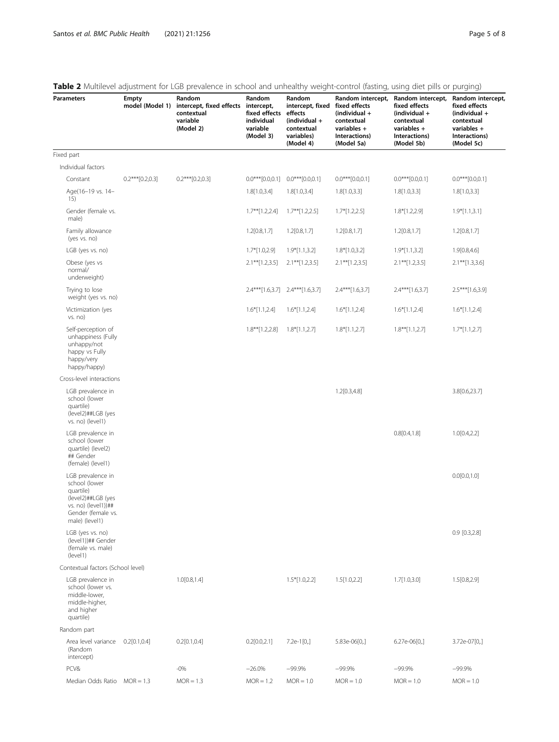|                                                                                                                                      |                   | <b>TWATE</b> Environment adjustment for EGD prevaience in seriour and annicating vicigint control (lasting, asing arct plits of parging) |                                                                |                                                                                                               |                                                                             |                                                                                                                                     |                                                                                                                   |
|--------------------------------------------------------------------------------------------------------------------------------------|-------------------|------------------------------------------------------------------------------------------------------------------------------------------|----------------------------------------------------------------|---------------------------------------------------------------------------------------------------------------|-----------------------------------------------------------------------------|-------------------------------------------------------------------------------------------------------------------------------------|-------------------------------------------------------------------------------------------------------------------|
| <b>Parameters</b>                                                                                                                    | Empty             | Random<br>model (Model 1) intercept, fixed effects intercept,<br>contextual<br>variable<br>(Model 2)                                     | Random<br>fixed effects<br>individual<br>variable<br>(Model 3) | Random<br>intercept, fixed fixed effects<br>effects<br>(individual +<br>contextual<br>variables)<br>(Model 4) | $(individual +$<br>contextual<br>variables +<br>Interactions)<br>(Model 5a) | Random intercept, Random intercept,<br>fixed effects<br>$(individual +$<br>contextual<br>variables +<br>Interactions)<br>(Model 5b) | Random intercept,<br>fixed effects<br>(individual $+$<br>contextual<br>variables +<br>Interactions)<br>(Model 5c) |
| Fixed part                                                                                                                           |                   |                                                                                                                                          |                                                                |                                                                                                               |                                                                             |                                                                                                                                     |                                                                                                                   |
| Individual factors                                                                                                                   |                   |                                                                                                                                          |                                                                |                                                                                                               |                                                                             |                                                                                                                                     |                                                                                                                   |
| Constant                                                                                                                             | $0.2***[0.2,0.3]$ | $0.2***[0.2,0.3]$                                                                                                                        |                                                                | $0.0***[0.0,0.1]$ $0.0***[0.0,0.1]$                                                                           | $0.0***[0.0,0.1]$                                                           | $0.0***[0.0,0.1]$                                                                                                                   | $0.0***[0.0,0.1]$                                                                                                 |
| Age(16-19 vs. 14-<br>15)                                                                                                             |                   |                                                                                                                                          | 1.8[1.0,3.4]                                                   | 1.8[1.0,3.4]                                                                                                  | 1.8[1.0,3.3]                                                                | 1.8[1.0,3.3]                                                                                                                        | 1.8[1.0,3.3]                                                                                                      |
| Gender (female vs.<br>male)                                                                                                          |                   |                                                                                                                                          | $1.7***$ [1.2,2.4]                                             | $1.7***$ [1.2,2.5]                                                                                            | $1.7*[1.2,2.5]$                                                             | $1.8*[1.2,2.9]$                                                                                                                     | $1.9*[1.1,3.1]$                                                                                                   |
| Family allowance<br>(yes vs. no)                                                                                                     |                   |                                                                                                                                          | 1.2[0.8, 1.7]                                                  | 1.2[0.8, 1.7]                                                                                                 | 1.2[0.8, 1.7]                                                               | 1.2[0.8, 1.7]                                                                                                                       | 1.2[0.8, 1.7]                                                                                                     |
| LGB (yes vs. no)                                                                                                                     |                   |                                                                                                                                          | $1.7*[1.0,2.9]$                                                | $1.9*[1.1,3.2]$                                                                                               | $1.8*[1.0,3.2]$                                                             | $1.9*[1.1,3.2]$                                                                                                                     | 1.9[0.8,4.6]                                                                                                      |
| Obese (yes vs<br>normal/<br>underweight)                                                                                             |                   |                                                                                                                                          | $2.1***[1.2,3.5]$                                              | $2.1***[1.2,3.5]$                                                                                             | $2.1***$ [1.2,3.5]                                                          | $2.1***[1.2,3.5]$                                                                                                                   | $2.1***[1.3,3.6]$                                                                                                 |
| Trying to lose<br>weight (yes vs. no)                                                                                                |                   |                                                                                                                                          |                                                                | $2.4***[1.6,3.7]$ $2.4***[1.6,3.7]$                                                                           | $2.4***$ [1.6,3.7]                                                          | $2.4***[1.6,3.7]$                                                                                                                   | $2.5***[1.6,3.9]$                                                                                                 |
| Victimization (yes<br>vs. no)                                                                                                        |                   |                                                                                                                                          | $1.6*[1.1,2.4]$                                                | $1.6*[1.1,2.4]$                                                                                               | $1.6*[1.1,2.4]$                                                             | $1.6*[1.1,2.4]$                                                                                                                     | $1.6*[1.1,2.4]$                                                                                                   |
| Self-perception of<br>unhappiness (Fully<br>unhappy/not<br>happy vs Fully<br>happy/very<br>happy/happy)                              |                   |                                                                                                                                          | $1.8**$ [1.2,2.8]                                              | $1.8*[1.1,2.7]$                                                                                               | $1.8*[1.1,2.7]$                                                             | $1.8***[1.1,2.7]$                                                                                                                   | $1.7*[1.1,2.7]$                                                                                                   |
| Cross-level interactions                                                                                                             |                   |                                                                                                                                          |                                                                |                                                                                                               |                                                                             |                                                                                                                                     |                                                                                                                   |
| LGB prevalence in<br>school (lower<br>quartile)<br>(level2)##LGB (yes<br>vs. no) (level1)                                            |                   |                                                                                                                                          |                                                                |                                                                                                               | 1.2[0.3, 4.8]                                                               |                                                                                                                                     | 3.8[0.6,23.7]                                                                                                     |
| LGB prevalence in<br>school (lower<br>quartile) (level2)<br>## Gender<br>(female) (level1)                                           |                   |                                                                                                                                          |                                                                |                                                                                                               |                                                                             | 0.8[0.4, 1.8]                                                                                                                       | 1.0[0.4, 2.2]                                                                                                     |
| LGB prevalence in<br>school (lower<br>quartile)<br>(level2)##LGB (yes<br>vs. no) (level1))##<br>Gender (female vs.<br>male) (level1) |                   |                                                                                                                                          |                                                                |                                                                                                               |                                                                             |                                                                                                                                     | 0.0[0.0, 1.0]                                                                                                     |
| LGB (yes vs. no)<br>(level1))## Gender<br>(female vs. male)<br>(level1)                                                              |                   |                                                                                                                                          |                                                                |                                                                                                               |                                                                             |                                                                                                                                     | $0.9$ [0.3,2.8]                                                                                                   |
| Contextual factors (School level)                                                                                                    |                   |                                                                                                                                          |                                                                |                                                                                                               |                                                                             |                                                                                                                                     |                                                                                                                   |
| LGB prevalence in<br>school (lower vs.<br>middle-lower,<br>middle-higher,<br>and higher<br>quartile)                                 |                   | 1.0[0.8, 1.4]                                                                                                                            |                                                                | $1.5*[1.0,2.2]$                                                                                               | 1.5[1.0,2.2]                                                                | 1.7[1.0,3.0]                                                                                                                        | 1.5[0.8, 2.9]                                                                                                     |
| Random part                                                                                                                          |                   |                                                                                                                                          |                                                                |                                                                                                               |                                                                             |                                                                                                                                     |                                                                                                                   |
| Area level variance<br>(Random<br>intercept)                                                                                         | 0.2[0.1, 0.4]     | 0.2[0.1, 0.4]                                                                                                                            | 0.2[0.0, 2.1]                                                  | $7.2e-1[0,]$                                                                                                  | 5.83e-06[0,.]                                                               | 6.27e-06[0,.]                                                                                                                       | 3.72e-07[0,.]                                                                                                     |
| PCV&                                                                                                                                 |                   | $-0%$                                                                                                                                    | $-26.0%$                                                       | $-99.9%$                                                                                                      | $-99.9%$                                                                    | $-99.9%$                                                                                                                            | $-99.9%$                                                                                                          |

Median Odds Ratio MOR = 1.3 MOR = 1.3 MOR = 1.2 MOR = 1.0 MOR = 1.0 MOR = 1.0 MOR = 1.0

## <span id="page-4-0"></span>Table 2 Multilevel adjustment for LGB prevalence in school and unhealthy weight-control (fasting, using diet pills or purging)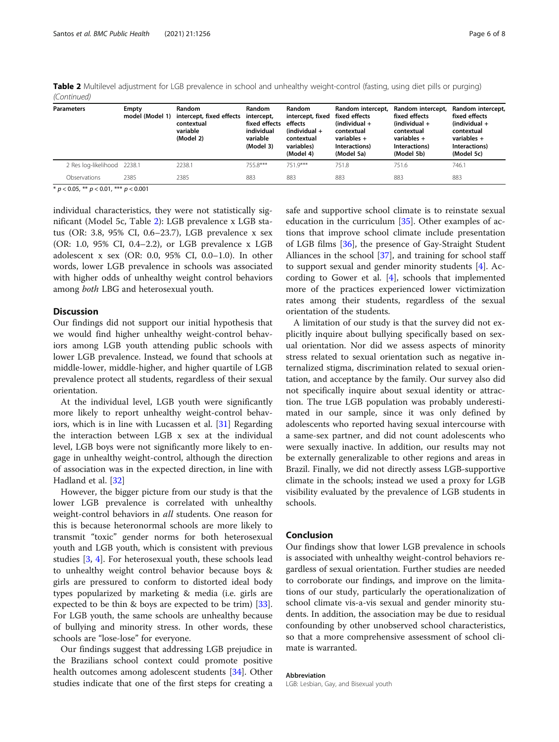| <b>Parameters</b>           | Empty<br>model (Model 1) | Random<br>intercept, fixed effects<br>contextual<br>variable<br>(Model 2) | Random<br>intercept,<br>fixed effects<br>individual<br>variable<br>(Model 3) | <b>Random</b><br>intercept, fixed<br>effects<br>$(individual +$<br>contextual<br>variables)<br>(Model 4) | Random intercept,<br>fixed effects<br>$(individual +$<br>contextual<br>variables $+$<br>Interactions)<br>(Model 5a) | Random intercept,<br>fixed effects<br>$(individual +$<br>contextual<br>variables $+$<br>Interactions)<br>(Model 5b) | Random intercept,<br>fixed effects<br>$(individual +$<br>contextual<br>variables $+$<br>Interactions)<br>(Model 5c) |
|-----------------------------|--------------------------|---------------------------------------------------------------------------|------------------------------------------------------------------------------|----------------------------------------------------------------------------------------------------------|---------------------------------------------------------------------------------------------------------------------|---------------------------------------------------------------------------------------------------------------------|---------------------------------------------------------------------------------------------------------------------|
| 2 Res log-likelihood 2238.1 |                          | 2238.1                                                                    | 755.8***                                                                     | 751 9***                                                                                                 | 751.8                                                                                                               | 751.6                                                                                                               | 746.1                                                                                                               |
| Observations                | 2385                     | 2385                                                                      | 883                                                                          | 883                                                                                                      | 883                                                                                                                 | 883                                                                                                                 | 883                                                                                                                 |

Table 2 Multilevel adjustment for LGB prevalence in school and unhealthy weight-control (fasting, using diet pills or purging) (Continued)

\*  $p < 0.05$ , \*\*  $p < 0.01$ , \*\*\*  $p < 0.001$ 

individual characteristics, they were not statistically significant (Model 5c, Table [2](#page-4-0)): LGB prevalence x LGB status (OR: 3.8, 95% CI, 0.6–23.7), LGB prevalence x sex (OR: 1.0, 95% CI, 0.4–2.2), or LGB prevalence x LGB adolescent x sex (OR: 0.0, 95% CI, 0.0–1.0). In other words, lower LGB prevalence in schools was associated with higher odds of unhealthy weight control behaviors among both LBG and heterosexual youth.

### **Discussion**

Our findings did not support our initial hypothesis that we would find higher unhealthy weight-control behaviors among LGB youth attending public schools with lower LGB prevalence. Instead, we found that schools at middle-lower, middle-higher, and higher quartile of LGB prevalence protect all students, regardless of their sexual orientation.

At the individual level, LGB youth were significantly more likely to report unhealthy weight-control behaviors, which is in line with Lucassen et al. [\[31\]](#page-7-0) Regarding the interaction between LGB x sex at the individual level, LGB boys were not significantly more likely to engage in unhealthy weight-control, although the direction of association was in the expected direction, in line with Hadland et al. [\[32\]](#page-7-0)

However, the bigger picture from our study is that the lower LGB prevalence is correlated with unhealthy weight-control behaviors in all students. One reason for this is because heteronormal schools are more likely to transmit "toxic" gender norms for both heterosexual youth and LGB youth, which is consistent with previous studies [\[3](#page-6-0), [4\]](#page-6-0). For heterosexual youth, these schools lead to unhealthy weight control behavior because boys & girls are pressured to conform to distorted ideal body types popularized by marketing & media (i.e. girls are expected to be thin & boys are expected to be trim)  $[33]$  $[33]$ . For LGB youth, the same schools are unhealthy because of bullying and minority stress. In other words, these schools are "lose-lose" for everyone.

Our findings suggest that addressing LGB prejudice in the Brazilians school context could promote positive health outcomes among adolescent students [[34](#page-7-0)]. Other studies indicate that one of the first steps for creating a safe and supportive school climate is to reinstate sexual education in the curriculum [[35](#page-7-0)]. Other examples of actions that improve school climate include presentation of LGB films [\[36](#page-7-0)], the presence of Gay-Straight Student Alliances in the school [\[37\]](#page-7-0), and training for school staff to support sexual and gender minority students [[4\]](#page-6-0). According to Gower et al. [[4](#page-6-0)], schools that implemented more of the practices experienced lower victimization rates among their students, regardless of the sexual orientation of the students.

A limitation of our study is that the survey did not explicitly inquire about bullying specifically based on sexual orientation. Nor did we assess aspects of minority stress related to sexual orientation such as negative internalized stigma, discrimination related to sexual orientation, and acceptance by the family. Our survey also did not specifically inquire about sexual identity or attraction. The true LGB population was probably underestimated in our sample, since it was only defined by adolescents who reported having sexual intercourse with a same-sex partner, and did not count adolescents who were sexually inactive. In addition, our results may not be externally generalizable to other regions and areas in Brazil. Finally, we did not directly assess LGB-supportive climate in the schools; instead we used a proxy for LGB visibility evaluated by the prevalence of LGB students in schools.

#### Conclusion

Our findings show that lower LGB prevalence in schools is associated with unhealthy weight-control behaviors regardless of sexual orientation. Further studies are needed to corroborate our findings, and improve on the limitations of our study, particularly the operationalization of school climate vis-a-vis sexual and gender minority students. In addition, the association may be due to residual confounding by other unobserved school characteristics, so that a more comprehensive assessment of school climate is warranted.

#### Abbreviation

LGB: Lesbian, Gay, and Bisexual youth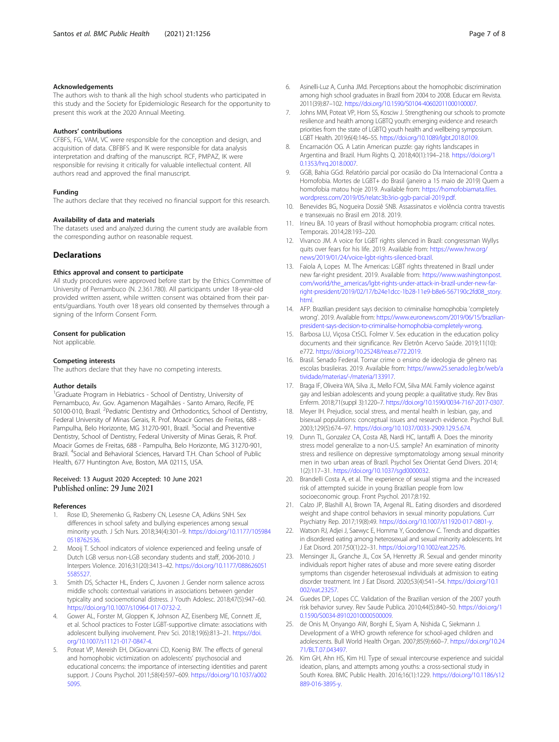#### <span id="page-6-0"></span>Acknowledgements

The authors wish to thank all the high school students who participated in this study and the Society for Epidemiologic Research for the opportunity to present this work at the 2020 Annual Meeting.

#### Authors' contributions

CFBFS, FG, VAM, VC were responsible for the conception and design, and acquisition of data. CBFBFS and IK were responsible for data analysis interpretation and drafting of the manuscript. RCF, PMPAZ, IK were responsible for revising it critically for valuable intellectual content. All authors read and approved the final manuscript.

#### Funding

The authors declare that they received no financial support for this research.

#### Availability of data and materials

The datasets used and analyzed during the current study are available from the corresponding author on reasonable request.

#### **Declarations**

#### Ethics approval and consent to participate

All study procedures were approved before start by the Ethics Committee of University of Pernambuco (N. 2.361.780). All participants under 18-year-old provided written assent, while written consent was obtained from their parents/guardians. Youth over 18 years old consented by themselves through a signing of the Inform Consent Form.

#### Consent for publication

Not applicable.

#### Competing interests

The authors declare that they have no competing interests.

#### Author details

<sup>1</sup>Graduate Program in Hebiatrics - School of Dentistry, University of Pernambuco, Av. Gov. Agamenon Magalhães - Santo Amaro, Recife, PE 50100-010, Brazil. <sup>2</sup> Pediatric Dentistry and Orthodontics, School of Dentistry, Federal University of Minas Gerais, R. Prof. Moacir Gomes de Freitas, 688 - Pampulha, Belo Horizonte, MG 31270-901, Brazil. <sup>3</sup>Social and Preventive Dentistry, School of Dentistry, Federal University of Minas Gerais, R. Prof. Moacir Gomes de Freitas, 688 - Pampulha, Belo Horizonte, MG 31270-901, Brazil. <sup>4</sup>Social and Behavioral Sciences, Harvard T.H. Chan School of Public Health, 677 Huntington Ave, Boston, MA 02115, USA.

#### Received: 13 August 2020 Accepted: 10 June 2021 Published online: 29 June 2021

#### References

- 1. Rose ID, Sheremenko G, Rasberry CN, Lesesne CA, Adkins SNH. Sex differences in school safety and bullying experiences among sexual minority youth. J Sch Nurs. 2018;34(4):301–9. [https://doi.org/10.1177/105984](https://doi.org/10.1177/1059840518762536) [0518762536.](https://doi.org/10.1177/1059840518762536)
- 2. Mooij T. School indicators of violence experienced and feeling unsafe of Dutch LGB versus non-LGB secondary students and staff, 2006-2010. J Interpers Violence. 2016;31(20):3413–42. [https://doi.org/10.1177/088626051](https://doi.org/10.1177/0886260515585527) [5585527.](https://doi.org/10.1177/0886260515585527)
- 3. Smith DS, Schacter HL, Enders C, Juvonen J. Gender norm salience across middle schools: contextual variations in associations between gender typicality and socioemotional distress. J Youth Adolesc. 2018;47(5):947–60. <https://doi.org/10.1007/s10964-017-0732-2>.
- 4. Gower AL, Forster M, Gloppen K, Johnson AZ, Eisenberg ME, Connett JE, et al. School practices to Foster LGBT-supportive climate: associations with adolescent bullying involvement. Prev Sci. 2018;19(6):813–21. [https://doi.](https://doi.org/10.1007/s11121-017-0847-4) [org/10.1007/s11121-017-0847-4](https://doi.org/10.1007/s11121-017-0847-4).
- Poteat VP, Mereish EH, DiGiovanni CD, Koenig BW. The effects of general and homophobic victimization on adolescents' psychosocial and educational concerns: the importance of intersecting identities and parent support. J Couns Psychol. 2011;58(4):597–609. [https://doi.org/10.1037/a002](https://doi.org/10.1037/a0025095) [5095](https://doi.org/10.1037/a0025095).
- 7. Johns MM, Poteat VP, Horn SS, Kosciw J. Strengthening our schools to promote resilience and health among LGBTQ youth: emerging evidence and research priorities from the state of LGBTQ youth health and wellbeing symposium. LGBT Health. 2019;6(4):146–55. [https://doi.org/10.1089/lgbt.2018.0109.](https://doi.org/10.1089/lgbt.2018.0109)
- 8. Encarnación OG. A Latin American puzzle: gay rights landscapes in Argentina and Brazil. Hum Rights Q. 2018;40(1):194–218. [https://doi.org/1](https://doi.org/10.1353/hrq.2018.0007) [0.1353/hrq.2018.0007.](https://doi.org/10.1353/hrq.2018.0007)
- 9. GGB, Bahia GGd. Relatório parcial por ocasião do Dia Internacional Contra a Homofobia. Mortes de LGBT+ do Brasil (janeiro a 15 maio de 2019) Quem a homofobia matou hoje 2019. Available from: [https://homofobiamata.files.](https://homofobiamata.files.wordpress.com/2019/05/relatc3b3rio-ggb-parcial-2019.pdf) [wordpress.com/2019/05/relatc3b3rio-ggb-parcial-2019.pdf.](https://homofobiamata.files.wordpress.com/2019/05/relatc3b3rio-ggb-parcial-2019.pdf)
- 10. Benevides BG, Nogueira Dossiê SNB. Assassinatos e violência contra travestis e transexuais no Brasil em 2018. 2019.
- 11. Irineu BA. 10 years of Brasil without homophobia program: critical notes. Temporais. 2014;28:193–220.
- 12. Vivanco JM. A voice for LGBT rights silenced in Brazil: congressman Wyllys quits over fears for his life. 2019. Available from: [https://www.hrw.org/](https://www.hrw.org/news/2019/01/24/voice-lgbt-rights-silenced-brazil) [news/2019/01/24/voice-lgbt-rights-silenced-brazil](https://www.hrw.org/news/2019/01/24/voice-lgbt-rights-silenced-brazil).
- 13. Faiola A, Lopes M. The Americas: LGBT rights threatened in Brazil under new far-right president. 2019. Available from: [https://www.washingtonpost.](https://www.washingtonpost.com/world/the_americas/lgbt-rights-under-attack-in-brazil-under-new-far-right-president/2019/02/17/b24e1dcc-1b28-11e9-b8e6-567190c2fd08_story.html) [com/world/the\\_americas/lgbt-rights-under-attack-in-brazil-under-new-far](https://www.washingtonpost.com/world/the_americas/lgbt-rights-under-attack-in-brazil-under-new-far-right-president/2019/02/17/b24e1dcc-1b28-11e9-b8e6-567190c2fd08_story.html)[right-president/2019/02/17/b24e1dcc-1b28-11e9-b8e6-567190c2fd08\\_story.](https://www.washingtonpost.com/world/the_americas/lgbt-rights-under-attack-in-brazil-under-new-far-right-president/2019/02/17/b24e1dcc-1b28-11e9-b8e6-567190c2fd08_story.html) [html.](https://www.washingtonpost.com/world/the_americas/lgbt-rights-under-attack-in-brazil-under-new-far-right-president/2019/02/17/b24e1dcc-1b28-11e9-b8e6-567190c2fd08_story.html)
- 14. AFP. Brazilian president says decision to criminalise homophobia 'completely wrong'. 2019. Available from: [https://www.euronews.com/2019/06/15/brazilian](https://www.euronews.com/2019/06/15/brazilian-president-says-decision-to-criminalise-homophobia-completely-wrong)[president-says-decision-to-criminalise-homophobia-completely-wrong](https://www.euronews.com/2019/06/15/brazilian-president-says-decision-to-criminalise-homophobia-completely-wrong).
- 15. Barbosa LU, Viçosa CtSCL Folmer V. Sex education in the education policy documents and their significance. Rev Eletrôn Acervo Saúde. 2019;11(10): e772. <https://doi.org/10.25248/reas.e772.2019>.
- 16. Brasil. Senado Federal. Tornar crime o ensino de ideologia de gênero nas escolas brasileiras. 2019. Available from: [https://www25.senado.leg.br/web/a](https://www25.senado.leg.br/web/atividade/materias/-/materia/133917) [tividade/materias/-/materia/133917.](https://www25.senado.leg.br/web/atividade/materias/-/materia/133917)
- 17. Braga IF, Oliveira WA, Silva JL, Mello FCM, Silva MAI. Family violence against gay and lesbian adolescents and young people: a qualitative study. Rev Bras Enferm. 2018;71(suppl 3):1220–7. [https://doi.org/10.1590/0034-7167-2017-0307.](https://doi.org/10.1590/0034-7167-2017-0307)
- 18. Meyer IH. Prejudice, social stress, and mental health in lesbian, gay, and bisexual populations: conceptual issues and research evidence. Psychol Bull. 2003;129(5):674–97. <https://doi.org/10.1037/0033-2909.129.5.674>.
- 19. Dunn TL, Gonzalez CA, Costa AB, Nardi HC, Iantaffi A. Does the minority stress model generalize to a non-U.S. sample? An examination of minority stress and resilience on depressive symptomatology among sexual minority men in two urban areas of Brazil. Psychol Sex Orientat Gend Divers. 2014; 1(2):117–31. [https://doi.org/10.1037/sgd0000032.](https://doi.org/10.1037/sgd0000032)
- 20. Brandelli Costa A, et al. The experience of sexual stigma and the increased risk of attempted suicide in young Brazilian people from low socioeconomic group. Front Psychol. 2017;8:192.
- 21. Calzo JP, Blashill AJ, Brown TA, Argenal RL. Eating disorders and disordered weight and shape control behaviors in sexual minority populations. Curr Psychiatry Rep. 2017;19(8):49. <https://doi.org/10.1007/s11920-017-0801-y>.
- 22. Watson RJ, Adjei J, Saewyc E, Homma Y, Goodenow C. Trends and disparities in disordered eating among heterosexual and sexual minority adolescents. Int J Eat Disord. 2017;50(1):22–31. <https://doi.org/10.1002/eat.22576>.
- 23. Mensinger JL, Granche JL, Cox SA, Henretty JR. Sexual and gender minority individuals report higher rates of abuse and more severe eating disorder symptoms than cisgender heterosexual individuals at admission to eating disorder treatment. Int J Eat Disord. 2020;53(4):541–54. [https://doi.org/10.1](https://doi.org/10.1002/eat.23257) [002/eat.23257](https://doi.org/10.1002/eat.23257).
- 24. Guedes DP, Lopes CC. Validation of the Brazilian version of the 2007 youth risk behavior survey. Rev Saude Publica. 2010;44(5):840–50. [https://doi.org/1](https://doi.org/10.1590/S0034-89102010000500009) [0.1590/S0034-89102010000500009](https://doi.org/10.1590/S0034-89102010000500009).
- 25. de Onis M, Onyango AW, Borghi E, Siyam A, Nishida C, Siekmann J. Development of a WHO growth reference for school-aged children and adolescents. Bull World Health Organ. 2007;85(9):660–7. [https://doi.org/10.24](https://doi.org/10.2471/BLT.07.043497) [71/BLT.07.043497.](https://doi.org/10.2471/BLT.07.043497)
- 26. Kim GH, Ahn HS, Kim HJ. Type of sexual intercourse experience and suicidal ideation, plans, and attempts among youths: a cross-sectional study in South Korea. BMC Public Health. 2016;16(1):1229. [https://doi.org/10.1186/s12](https://doi.org/10.1186/s12889-016-3895-y) [889-016-3895-y](https://doi.org/10.1186/s12889-016-3895-y).